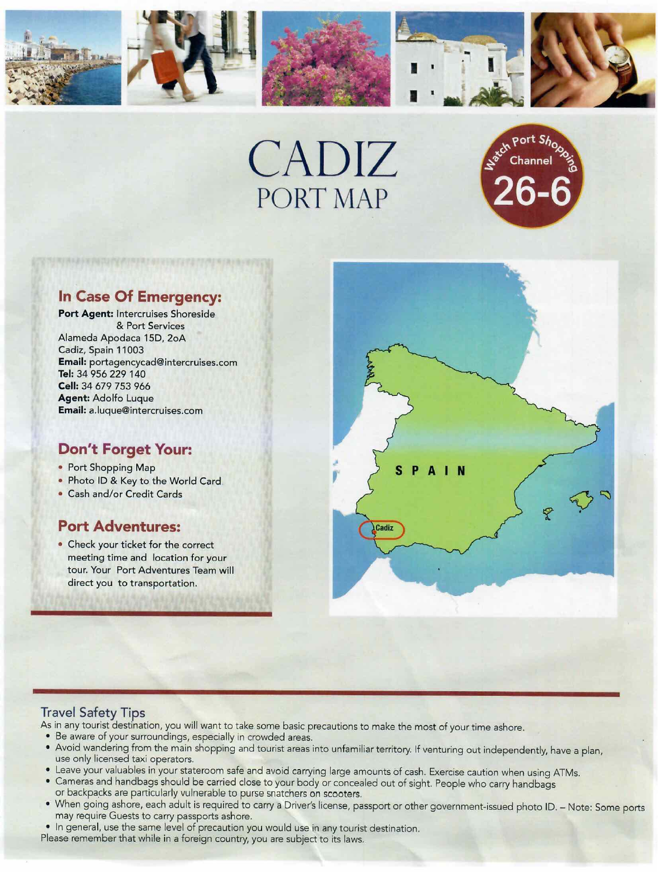





# **In Case Of Emergency:**

**Port Agent:** lntercruises Shoreside & Port Services Alameda Apodaca 150, 2oA Cadiz, Spain 11003 **Email:** portagencycad@intercruises.com **Tel:** 34 956 229 140 **Cell:** 34 679 753 966 **Agent:** Adolfo Luque **Email:** a.luque@intercruises.com

## **Don't Forget Your:**

- Port Shopping Map
- Photo ID & Key to the World Card
- Cash and/or Credit Cards

## **Port Adventures:**

• Check your ticket for the correct meeting time and location for your tour. Your Port Adventures Team will direct you to transportation.



### **Travel Safety Tips**

As in any tourist destination, you will want to take some basic precautions to make the most of your time ashore.

- Be aware of your surroundings, especially in crowded areas.
- Avoid wandering from the main shopping and tourist areas into unfamiliar territory. If venturing out independently, have a plan, use only licensed taxi operators.
- Leave your valuables in your stateroom safe and avoid carrying large amounts *bf* cash. Exercise caution when using ATMs.
- Cameras and handbags should be carried close to your body or concealed out of sight. People who carry handbags or backpacks are particularly vulnerable to purse snatchers on scooters.
- When going ashore, each adult is required to carry a Driver's license, passport or other government-issued photo ID. Note: Some ports may require Guests to carry passports ashore.
- In general, use the same level of precaution you would use in any tourist destination. Please remember that while in a foreign country, you are subject to its laws.